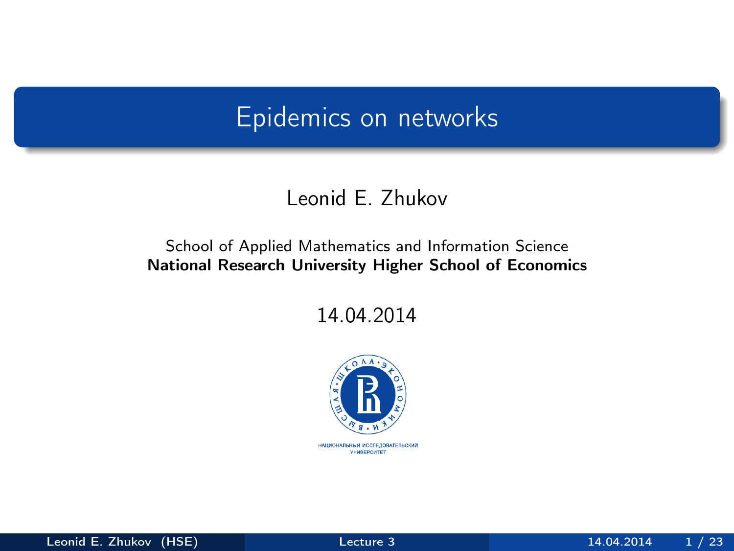## <span id="page-0-0"></span>Epidemics on networks

#### Leonid E. Zhukov

#### School of Applied Mathematics and Information Science National Research University Higher School of Economics

14.04.2014

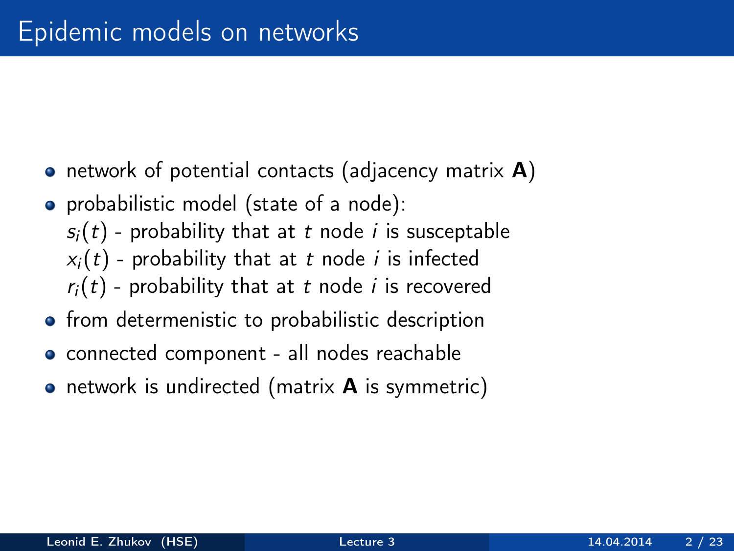- network of potential contacts (adjacency matrix  $\mathbf{A}$ )
- probabilistic model (state of a node):
	- $s_i(t)$  probability that at t node *i* is susceptable
	- $x_i(t)$  probability that at t node i is infected
	- $r_i(t)$  probability that at t node *i* is recovered
- **•** from determenistic to probabilistic description
- connected component all nodes reachable
- $\bullet$  network is undirected (matrix  $\bm{A}$  is symmetric)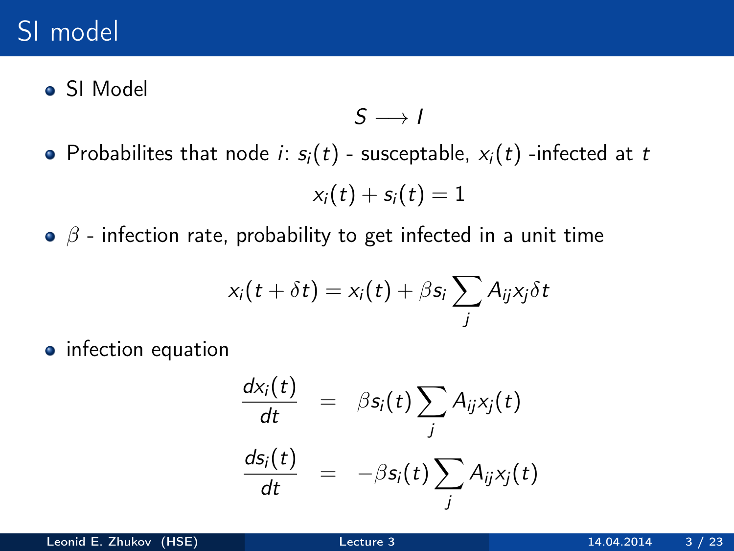# SI model

SI Model

 $S \rightarrow I$ 

• Probabilites that node *i*:  $s_i(t)$  - susceptable,  $x_i(t)$  -infected at t

$$
x_i(t) + s_i(t) = 1
$$

 $\bullet$   $\beta$  - infection rate, probability to get infected in a unit time

$$
x_i(t+\delta t)=x_i(t)+\beta s_i\sum_j A_{ij}x_j\delta t
$$

• infection equation

$$
\frac{dx_i(t)}{dt} = \beta s_i(t) \sum_j A_{ij} x_j(t)
$$

$$
\frac{ds_i(t)}{dt} = -\beta s_i(t) \sum_j A_{ij} x_j(t)
$$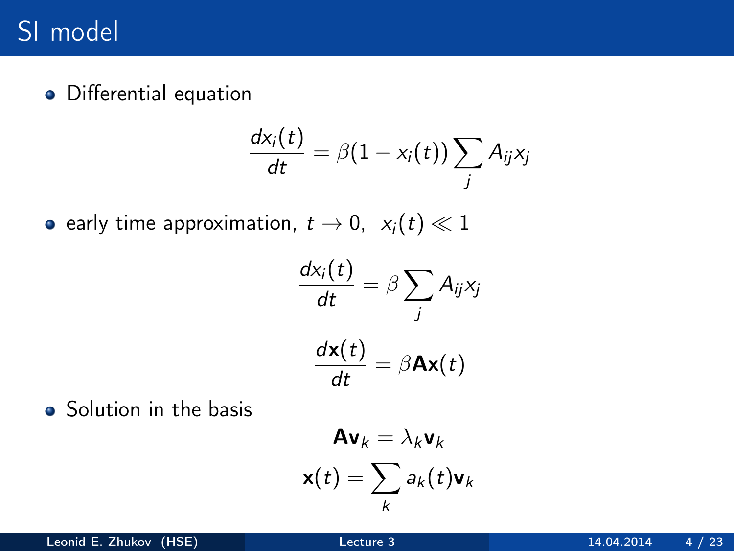# SI model

Differential equation

$$
\frac{dx_i(t)}{dt} = \beta(1-x_i(t))\sum_j A_{ij}x_j
$$

• early time approximation,  $t \to 0$ ,  $x_i(t) \ll 1$ 

$$
\frac{dx_i(t)}{dt} = \beta \sum_j A_{ij} x_j
$$

$$
\frac{d\mathbf{x}(t)}{dt} = \beta \mathbf{A}\mathbf{x}(t)
$$

• Solution in the basis

$$
\mathbf{A}\mathbf{v}_k = \lambda_k \mathbf{v}_k
$$

$$
\mathbf{x}(t) = \sum_k a_k(t) \mathbf{v}_k
$$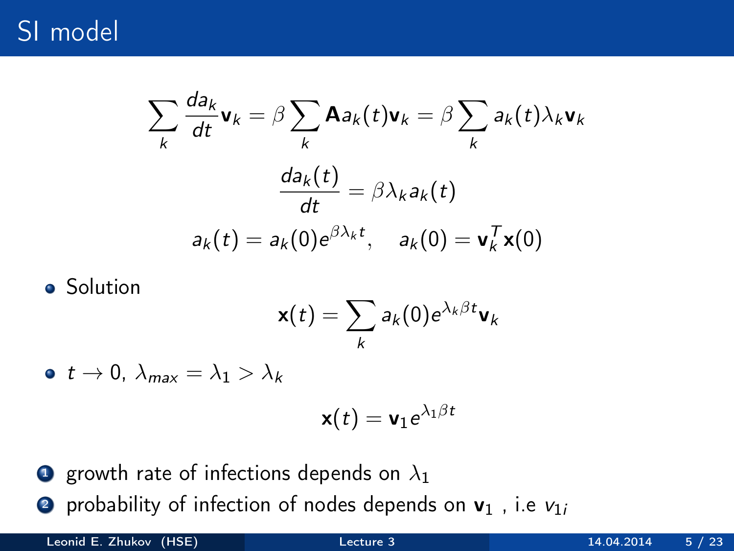# SI model

$$
\sum_{k} \frac{da_k}{dt} \mathbf{v}_k = \beta \sum_{k} \mathbf{A} a_k(t) \mathbf{v}_k = \beta \sum_{k} a_k(t) \lambda_k \mathbf{v}_k
$$

$$
\frac{da_k(t)}{dt} = \beta \lambda_k a_k(t)
$$

$$
a_k(t) = a_k(0) e^{\beta \lambda_k t}, \quad a_k(0) = \mathbf{v}_k^T \mathbf{x}(0)
$$

Solution

$$
\mathbf{x}(t) = \sum_{k} a_k(0) e^{\lambda_k \beta t} \mathbf{v}_k
$$

 $\bullet$  t  $\rightarrow$  0,  $\lambda_{\text{max}} = \lambda_1 > \lambda_k$ 

$$
\mathbf{x}(t)=\mathbf{v}_1e^{\lambda_1\beta t}
$$

- **1** growth rate of infections depends on  $\lambda_1$
- **2** probability of infection of nodes depends on  $v_1$ , i.e  $v_{1i}$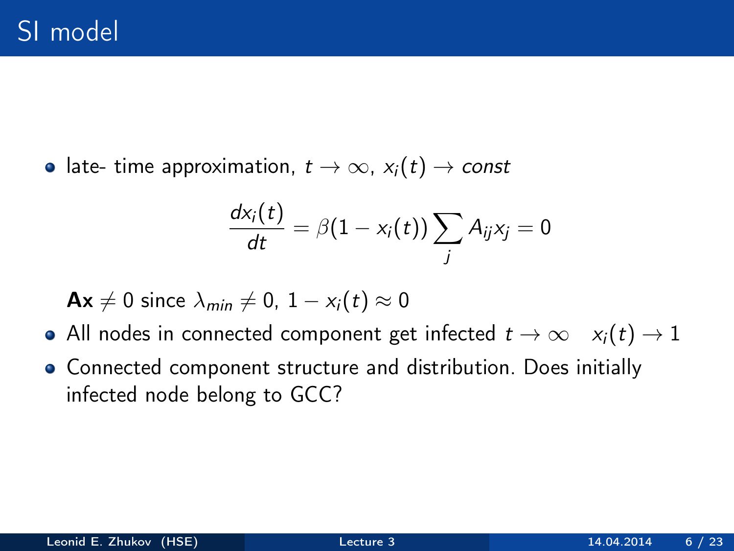• late- time approximation,  $t \to \infty$ ,  $x_i(t) \to const$ 

$$
\frac{d x_i(t)}{dt} = \beta(1-x_i(t))\sum_j A_{ij} x_j = 0
$$

$$
Ax \neq 0 \text{ since } \lambda_{min} \neq 0, 1 - x_i(t) \approx 0
$$

- All nodes in connected component get infected  $t \to \infty \quad x_i(t) \to 1$
- Connected component structure and distribution. Does initially infected node belong to GCC?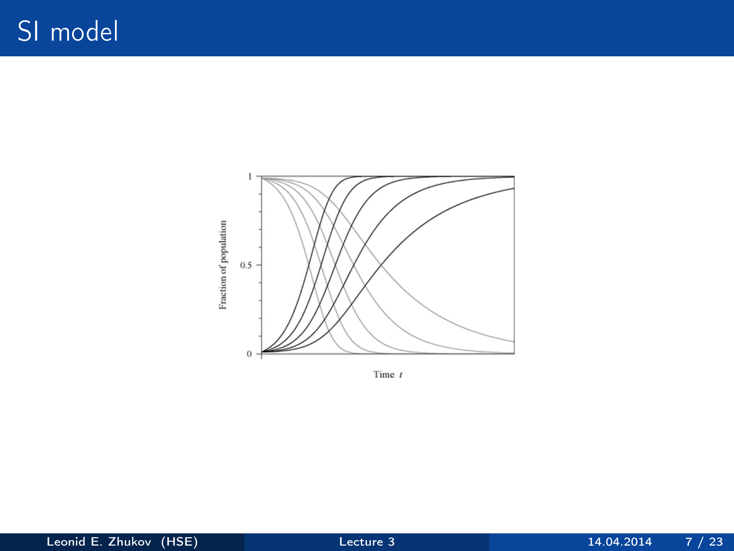

Time  $t$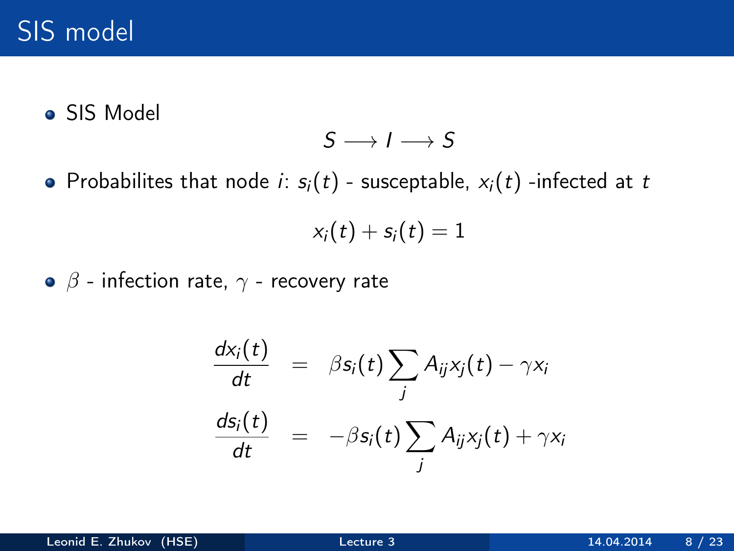SIS Model

$$
S\longrightarrow I\longrightarrow S
$$

• Probabilites that node *i*:  $s_i(t)$  - susceptable,  $x_i(t)$  -infected at t

$$
x_i(t) + s_i(t) = 1
$$

 $\bullet$   $\beta$  - infection rate,  $\gamma$  - recovery rate

$$
\frac{dx_i(t)}{dt} = \beta s_i(t) \sum_j A_{ij} x_j(t) - \gamma x_i
$$

$$
\frac{ds_i(t)}{dt} = -\beta s_i(t) \sum_j A_{ij} x_j(t) + \gamma x_i
$$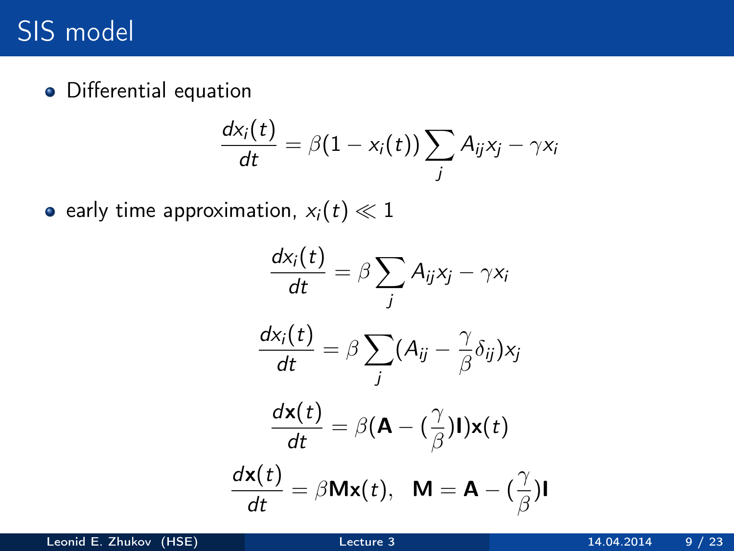# SIS model

Differential equation

$$
\frac{d x_i(t)}{dt} = \beta (1-x_i(t)) \sum_j A_{ij} x_j - \gamma x_i
$$

• early time approximation,  $x_i(t) \ll 1$ 

$$
\frac{dx_i(t)}{dt} = \beta \sum_j A_{ij}x_j - \gamma x_i
$$

$$
\frac{dx_i(t)}{dt} = \beta \sum_j (A_{ij} - \frac{\gamma}{\beta} \delta_{ij})x_j
$$

$$
\frac{d\mathbf{x}(t)}{dt} = \beta (\mathbf{A} - (\frac{\gamma}{\beta})\mathbf{I})\mathbf{x}(t)
$$

$$
\frac{d\mathbf{x}(t)}{dt} = \beta \mathbf{M}\mathbf{x}(t), \quad \mathbf{M} = \mathbf{A} - (\frac{\gamma}{\beta})\mathbf{I}
$$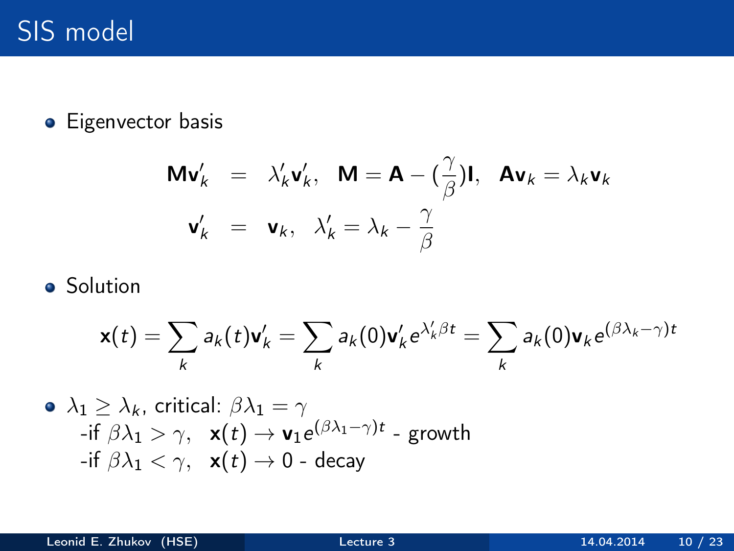# SIS model

**•** Eigenvector basis

$$
\begin{array}{rcl}\n\mathbf{M}\mathbf{v}'_k &=& \lambda'_k \mathbf{v}'_k, \quad \mathbf{M} = \mathbf{A} - \left(\frac{\gamma}{\beta}\right) \mathbf{I}, \quad \mathbf{A}\mathbf{v}_k = \lambda_k \mathbf{v}_k \\
\mathbf{v}'_k &=& \mathbf{v}_k, \quad \lambda'_k = \lambda_k - \frac{\gamma}{\beta}\n\end{array}
$$

**o** Solution

$$
\mathbf{x}(t) = \sum_{k} a_k(t) \mathbf{v}'_k = \sum_{k} a_k(0) \mathbf{v}'_k e^{\lambda'_k \beta t} = \sum_{k} a_k(0) \mathbf{v}_k e^{(\beta \lambda_k - \gamma)t}
$$

\n- \n
$$
\lambda_1 \geq \lambda_k
$$
, critical: \n  $\beta \lambda_1 = \gamma$ \n -if \n  $\beta \lambda_1 > \gamma$ , \n  $\mathbf{x}(t) \rightarrow \mathbf{v}_1 e^{(\beta \lambda_1 - \gamma)t}$  - growth\n -if \n  $\beta \lambda_1 < \gamma$ , \n  $\mathbf{x}(t) \rightarrow 0$  - decay\n
\n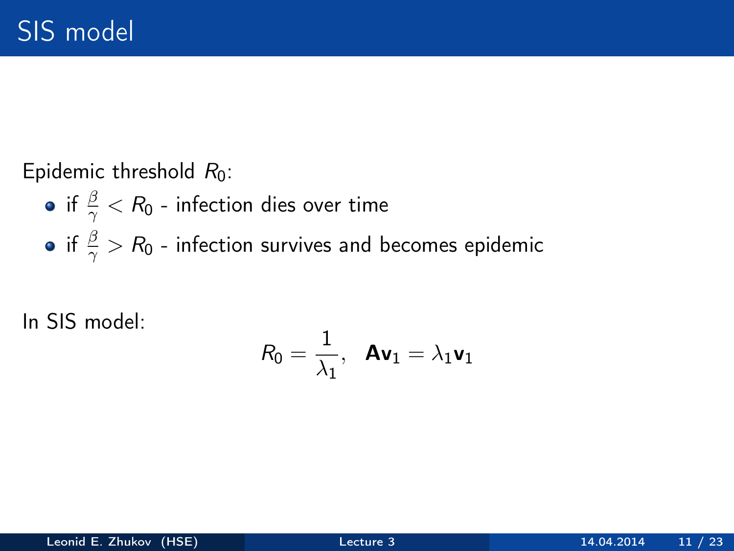Epidemic threshold  $R_0$ :

if  $\frac{\beta}{\gamma} < R_0$  - infection dies over time if  $\frac{\beta}{\gamma}>R_0$  - infection survives and becomes epidemic

In SIS model:

$$
R_0 = \frac{1}{\lambda_1}, \quad \mathbf{A}\mathbf{v}_1 = \lambda_1 \mathbf{v}_1
$$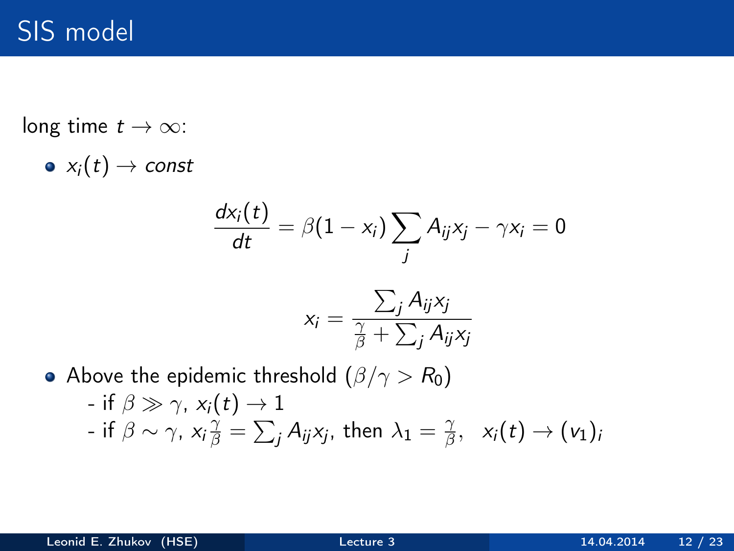# SIS model

long time  $t \to \infty$ :

 $\bullet x_i(t) \rightarrow const$ 

$$
\frac{dx_i(t)}{dt} = \beta(1-x_i)\sum_j A_{ij}x_j - \gamma x_i = 0
$$

$$
x_i = \frac{\sum_j A_{ij} x_j}{\frac{\gamma}{\beta} + \sum_j A_{ij} x_j}
$$

- Above the epidemic threshold  $(\beta/\gamma > R_0)$ 
	- if  $\beta \gg \gamma$ ,  $x_i(t) \rightarrow 1$ - if  $\beta\sim\gamma$ ,  $x_{i}\frac{\gamma}{\beta}=\sum_{j}A_{ij}x_{j}$ , then  $\lambda_{1}=\frac{\gamma}{\beta}$  $\frac{\gamma}{\beta}, \; \; \mathsf{x}_{i}(t) \rightarrow (\mathsf{v}_{1})_{i}$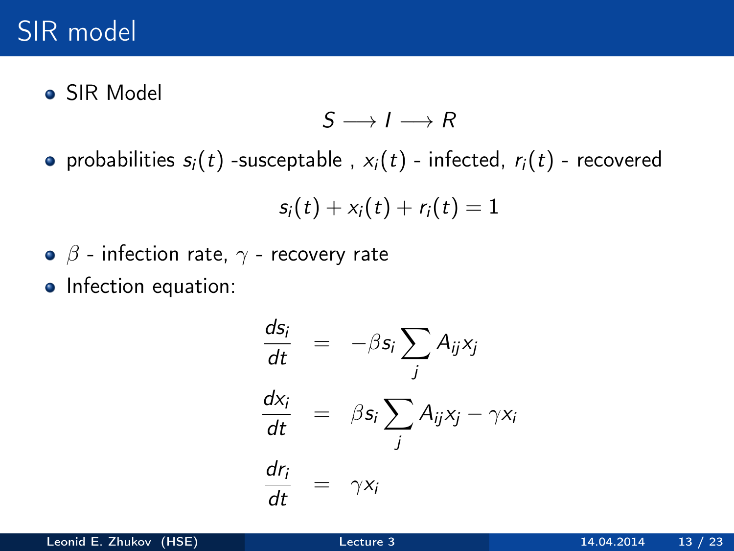#### SIR model

SIR Model

$$
S\longrightarrow I\longrightarrow R
$$

• probabilities  $s_i(t)$  -susceptable,  $x_i(t)$  - infected,  $r_i(t)$  - recovered

$$
s_i(t) + x_i(t) + r_i(t) = 1
$$

$$
\bullet \ \ \beta
$$
 - infection rate,  $\gamma$  - recovery rate

• Infection equation:

$$
\frac{ds_i}{dt} = -\beta s_i \sum_j A_{ij} x_j
$$
\n
$$
\frac{dx_i}{dt} = \beta s_i \sum_j A_{ij} x_j - \gamma x_i
$$
\n
$$
\frac{dr_i}{dt} = \gamma x_i
$$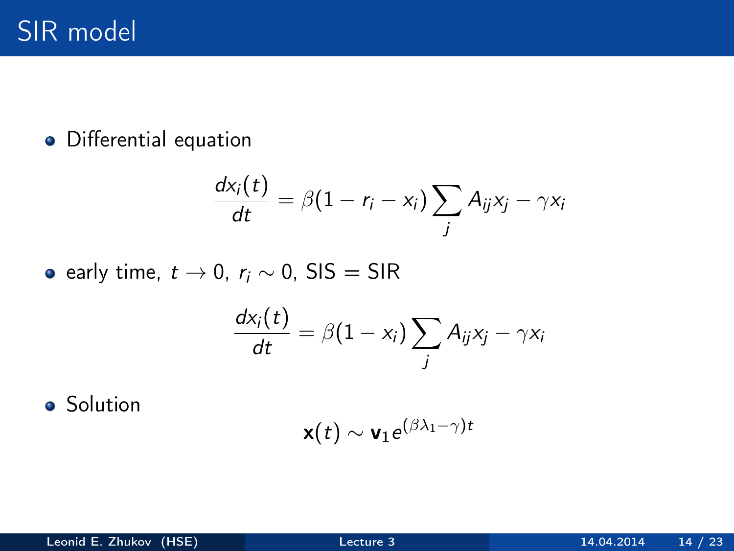Differential equation

$$
\frac{dx_i(t)}{dt} = \beta(1 - r_i - x_i) \sum_j A_{ij} x_j - \gamma x_i
$$

• early time,  $t \rightarrow 0$ ,  $r_i \sim 0$ , SIS = SIR

$$
\frac{dx_i(t)}{dt} = \beta(1-x_i)\sum_j A_{ij}x_j - \gamma x_i
$$

**o** Solution

$$
\mathbf{x}(t) \sim \mathbf{v}_1 e^{(\beta \lambda_1 - \gamma)t}
$$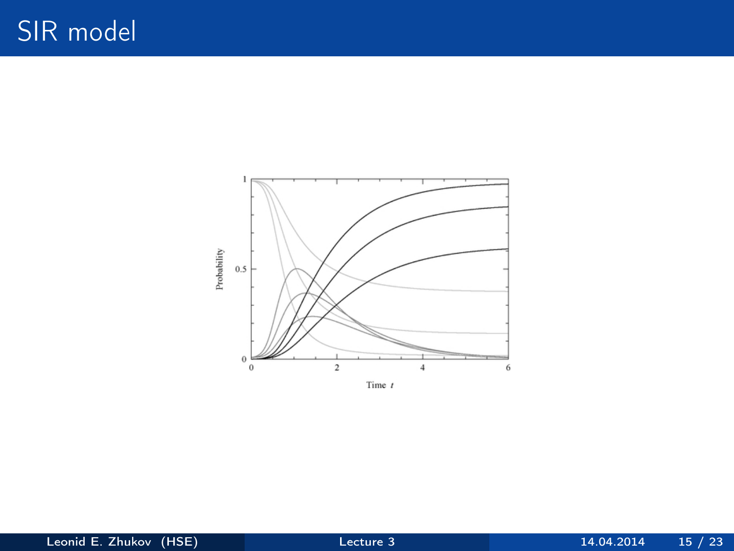

Time  $t$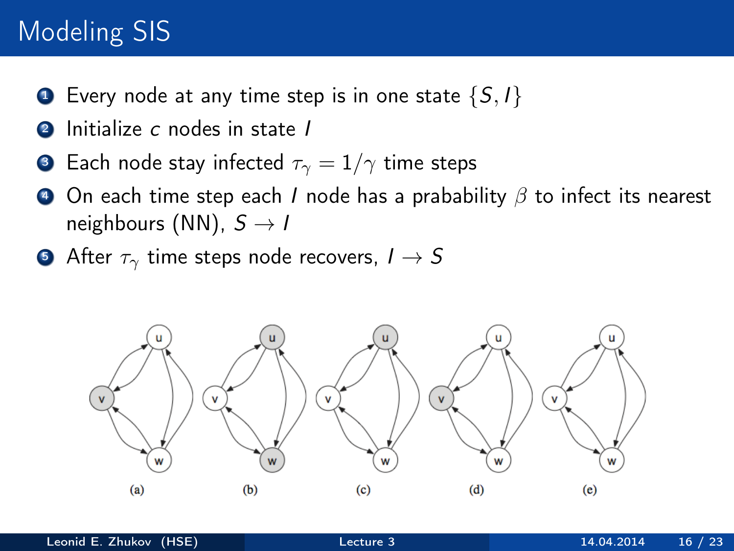# Modeling SIS

- **1** Every node at any time step is in one state  $\{S, I\}$
- Initialize  $c$  nodes in state  $I$
- **3** Each node stay infected  $\tau_{\gamma} = 1/\gamma$  time steps
- On each time step each I node has a prabability  $\beta$  to infect its nearest neighbours (NN),  $S \rightarrow I$
- **•** After  $\tau_{\gamma}$  time steps node recovers,  $I \rightarrow S$

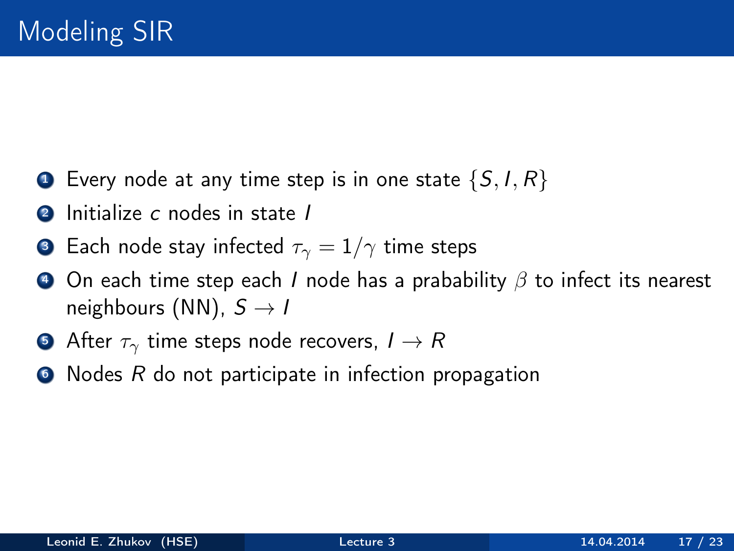- $\bullet$  Every node at any time step is in one state  $\{S, I, R\}$
- **2** Initialize c nodes in state I
- **3** Each node stay infected  $\tau_{\gamma} = 1/\gamma$  time steps
- $\bullet$  On each time step each I node has a prabability  $\beta$  to infect its nearest neighbours (NN),  $S \rightarrow I$
- **After**  $\tau_{\gamma}$  time steps node recovers,  $I \rightarrow R$
- $\bullet$  Nodes R do not participate in infection propagation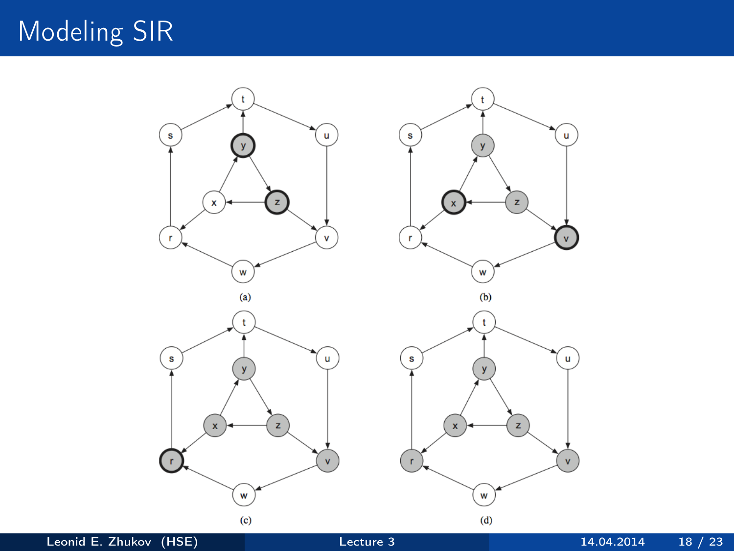# Modeling SIR

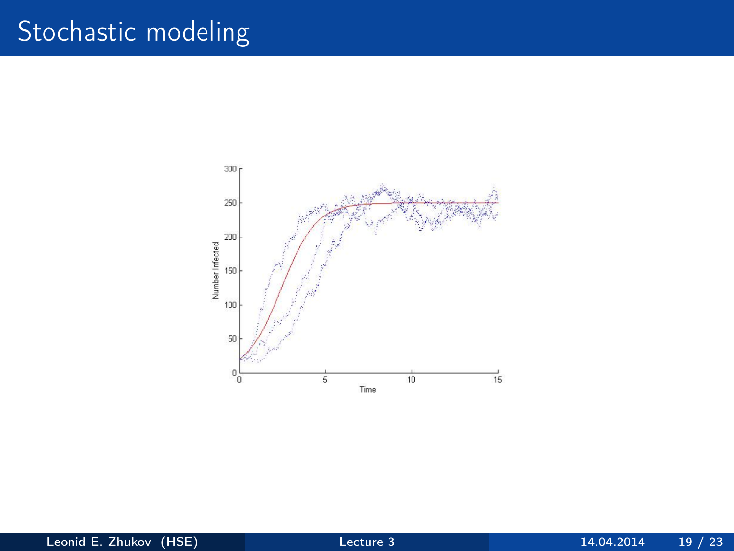## Stochastic modeling

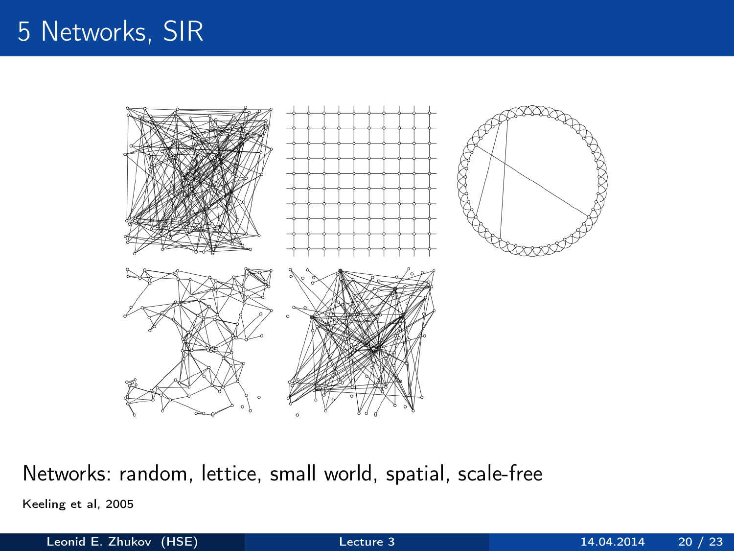

Networks: random, lettice, small world, spatial, scale-free

Keeling et al, 2005

Leonid E. Zhukov (HSE) [Lecture 3](#page-0-0) 14.04.2014 20 / 23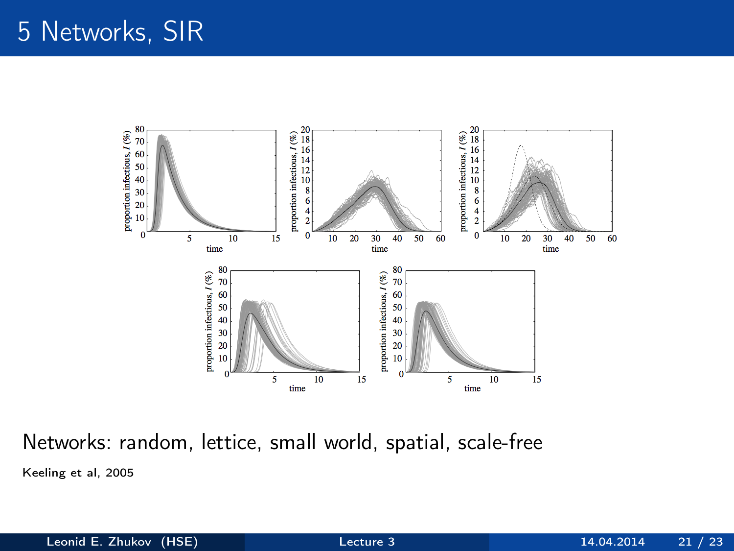

Networks: random, lettice, small world, spatial, scale-free Keeling et al, 2005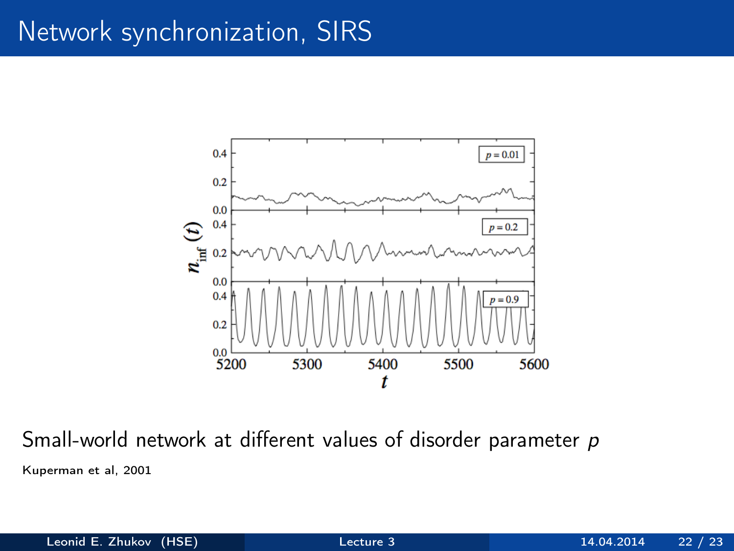#### Network synchronization, SIRS



Small-world network at different values of disorder parameter  $p$ Kuperman et al, 2001